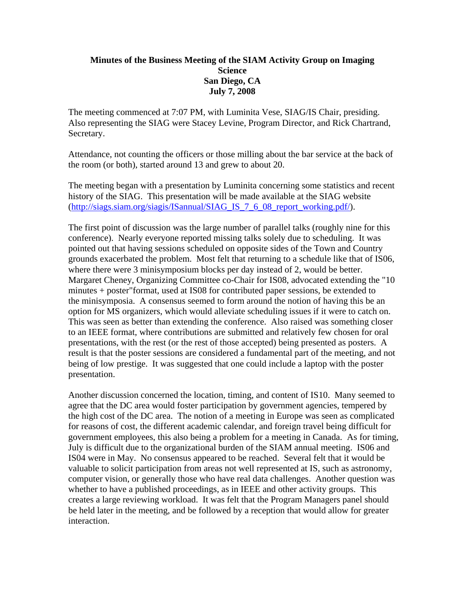## **Minutes of the Business Meeting of the SIAM Activity Group on Imaging Science San Diego, CA July 7, 2008**

The meeting commenced at 7:07 PM, with Luminita Vese, SIAG/IS Chair, presiding. Also representing the SIAG were Stacey Levine, Program Director, and Rick Chartrand, Secretary.

Attendance, not counting the officers or those milling about the bar service at the back of the room (or both), started around 13 and grew to about 20.

The meeting began with a presentation by Luminita concerning some statistics and recent history of the SIAG. This presentation will be made available at the SIAG website ([http://siags.siam.org/siagis/ISannual/SIAG\\_IS\\_7\\_6\\_08\\_report\\_working.pdf/\)](http://siags.siam.org/siagis/ISannual/SIAG_IS_7_6_08_report_working.pdf/).

The first point of discussion was the large number of parallel talks (roughly nine for this conference). Nearly everyone reported missing talks solely due to scheduling. It was pointed out that having sessions scheduled on opposite sides of the Town and Country grounds exacerbated the problem. Most felt that returning to a schedule like that of IS06, where there were 3 minisymposium blocks per day instead of 2, would be better. Margaret Cheney, Organizing Committee co-Chair for IS08, advocated extending the "10 minutes + poster"format, used at IS08 for contributed paper sessions, be extended to the minisymposia. A consensus seemed to form around the notion of having this be an option for MS organizers, which would alleviate scheduling issues if it were to catch on. This was seen as better than extending the conference. Also raised was something closer to an IEEE format, where contributions are submitted and relatively few chosen for oral presentations, with the rest (or the rest of those accepted) being presented as posters. A result is that the poster sessions are considered a fundamental part of the meeting, and not being of low prestige. It was suggested that one could include a laptop with the poster presentation.

Another discussion concerned the location, timing, and content of IS10. Many seemed to agree that the DC area would foster participation by government agencies, tempered by the high cost of the DC area. The notion of a meeting in Europe was seen as complicated for reasons of cost, the different academic calendar, and foreign travel being difficult for government employees, this also being a problem for a meeting in Canada. As for timing, July is difficult due to the organizational burden of the SIAM annual meeting. IS06 and IS04 were in May. No consensus appeared to be reached. Several felt that it would be valuable to solicit participation from areas not well represented at IS, such as astronomy, computer vision, or generally those who have real data challenges. Another question was whether to have a published proceedings, as in IEEE and other activity groups. This creates a large reviewing workload. It was felt that the Program Managers panel should be held later in the meeting, and be followed by a reception that would allow for greater interaction.